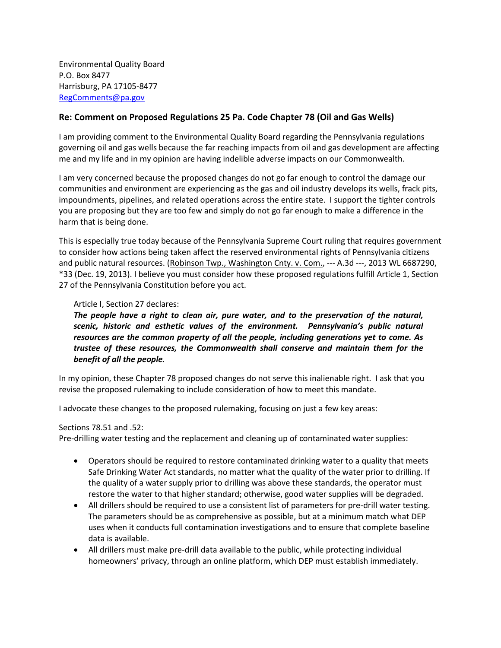Environmental Quality Board P.O. Box 8477 Harrisburg, PA 17105-8477 [RegComments@pa.gov](mailto:RegComments@pa.gov)

## **Re: Comment on Proposed Regulations 25 Pa. Code Chapter 78 (Oil and Gas Wells)**

I am providing comment to the Environmental Quality Board regarding the Pennsylvania regulations governing oil and gas wells because the far reaching impacts from oil and gas development are affecting me and my life and in my opinion are having indelible adverse impacts on our Commonwealth.

I am very concerned because the proposed changes do not go far enough to control the damage our communities and environment are experiencing as the gas and oil industry develops its wells, frack pits, impoundments, pipelines, and related operations across the entire state. I support the tighter controls you are proposing but they are too few and simply do not go far enough to make a difference in the harm that is being done.

This is especially true today because of the Pennsylvania Supreme Court ruling that requires government to consider how actions being taken affect the reserved environmental rights of Pennsylvania citizens and public natural resources. (Robinson Twp., Washington Cnty. v. Com., --- A.3d ---, 2013 WL 6687290, \*33 (Dec. 19, 2013). I believe you must consider how these proposed regulations fulfill Article 1, Section 27 of the Pennsylvania Constitution before you act.

## Article I, Section 27 declares:

*The people have a right to clean air, pure water, and to the preservation of the natural, scenic, historic and esthetic values of the environment. Pennsylvania's public natural resources are the common property of all the people, including generations yet to come. As trustee of these resources, the Commonwealth shall conserve and maintain them for the benefit of all the people.*

In my opinion, these Chapter 78 proposed changes do not serve this inalienable right. I ask that you revise the proposed rulemaking to include consideration of how to meet this mandate.

I advocate these changes to the proposed rulemaking, focusing on just a few key areas:

## Sections 78.51 and .52:

Pre-drilling water testing and the replacement and cleaning up of contaminated water supplies:

- Operators should be required to restore contaminated drinking water to a quality that meets Safe Drinking Water Act standards, no matter what the quality of the water prior to drilling. If the quality of a water supply prior to drilling was above these standards, the operator must restore the water to that higher standard; otherwise, good water supplies will be degraded.
- All drillers should be required to use a consistent list of parameters for pre-drill water testing. The parameters should be as comprehensive as possible, but at a minimum match what DEP uses when it conducts full contamination investigations and to ensure that complete baseline data is available.
- All drillers must make pre-drill data available to the public, while protecting individual homeowners' privacy, through an online platform, which DEP must establish immediately.